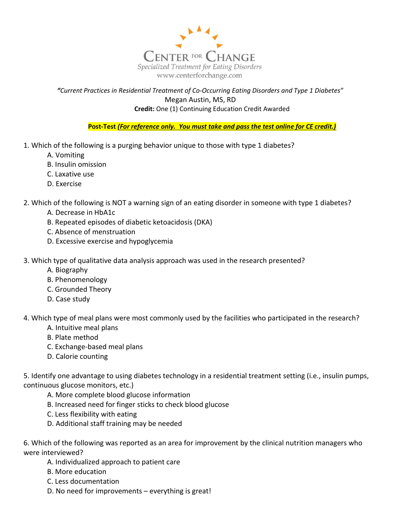

## "Current Practices in Residential Treatment of Co-Occurring Eating Disorders and Type 1 Diabetes" Megan Austin, MS, RD Credit: One (1) Continuing Education Credit Awarded

Post-Test (For reference only. You must take and pass the test online for CE credit.)

- 1. Which of the following is a purging behavior unique to those with type 1 diabetes?
	- A. Vomiting
	- B. Insulin omission
	- C. Laxative use
	- D. Exercise

2. Which of the following is NOT a warning sign of an eating disorder in someone with type 1 diabetes?

- A. Decrease in HbA1c
- B. Repeated episodes of diabetic ketoacidosis (DKA)
- C. Absence of menstruation
- D. Excessive exercise and hypoglycemia
- 3. Which type of qualitative data analysis approach was used in the research presented?
	- A. Biography
	- B. Phenomenology
	- C. Grounded Theory
	- D. Case study

4. Which type of meal plans were most commonly used by the facilities who participated in the research?

- A. Intuitive meal plans
- B. Plate method
- C. Exchange-based meal plans
- D. Calorie counting

5. Identify one advantage to using diabetes technology in a residential treatment setting (i.e., insulin pumps, continuous glucose monitors, etc.)

- A. More complete blood glucose information
- B. Increased need for finger sticks to check blood glucose
- C. Less flexibility with eating
- D. Additional staff training may be needed

6. Which of the following was reported as an area for improvement by the clinical nutrition managers who were interviewed?

- A. Individualized approach to patient care
- B. More education
- C. Less documentation
- D. No need for improvements everything is great!